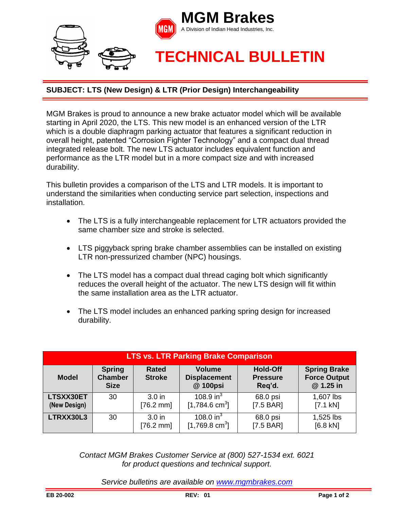

## **SUBJECT: LTS (New Design) & LTR (Prior Design) Interchangeability**

MGM Brakes is proud to announce a new brake actuator model which will be available starting in April 2020, the LTS. This new model is an enhanced version of the LTR which is a double diaphragm parking actuator that features a significant reduction in overall height, patented "Corrosion Fighter Technology" and a compact dual thread integrated release bolt. The new LTS actuator includes equivalent function and performance as the LTR model but in a more compact size and with increased durability.

This bulletin provides a comparison of the LTS and LTR models. It is important to understand the similarities when conducting service part selection, inspections and installation.

- The LTS is a fully interchangeable replacement for LTR actuators provided the same chamber size and stroke is selected.
- LTS piggyback spring brake chamber assemblies can be installed on existing LTR non-pressurized chamber (NPC) housings.
- The LTS model has a compact dual thread caging bolt which significantly reduces the overall height of the actuator. The new LTS design will fit within the same installation area as the LTR actuator.
- The LTS model includes an enhanced parking spring design for increased durability.

| <b>LTS vs. LTR Parking Brake Comparison</b> |                                                |                                          |                                                  |                                              |                                                         |
|---------------------------------------------|------------------------------------------------|------------------------------------------|--------------------------------------------------|----------------------------------------------|---------------------------------------------------------|
| <b>Model</b>                                | <b>Spring</b><br><b>Chamber</b><br><b>Size</b> | <b>Rated</b><br><b>Stroke</b>            | <b>Volume</b><br><b>Displacement</b><br>@ 100psi | <b>Hold-Off</b><br><b>Pressure</b><br>Req'd. | <b>Spring Brake</b><br><b>Force Output</b><br>@ 1.25 in |
| LTSXX30ET<br>(New Design)                   | 30                                             | 3.0 <sub>in</sub><br>$[76.2 \text{ mm}]$ | 108.9 in $3$<br>$[1,784.6 \text{ cm}^3]$         | 68.0 psi<br>$[7.5 BAR]$                      | 1,607 lbs<br>$[7.1 kN]$                                 |
| LTRXX30L3                                   | 30                                             | 3.0 <sub>in</sub><br>$[76.2 \text{ mm}]$ | 108.0 in $3$<br>[1,769.8 cm <sup>3</sup> ]       | 68.0 psi<br>[7.5 BAR]                        | 1,525 lbs<br>[6.8 kN]                                   |

*Contact MGM Brakes Customer Service at (800) 527-1534 ext. 6021 for product questions and technical support.*

*Service bulletins are available on [www.mgmbrakes.com](http://www.mgmbrakes.com/)*